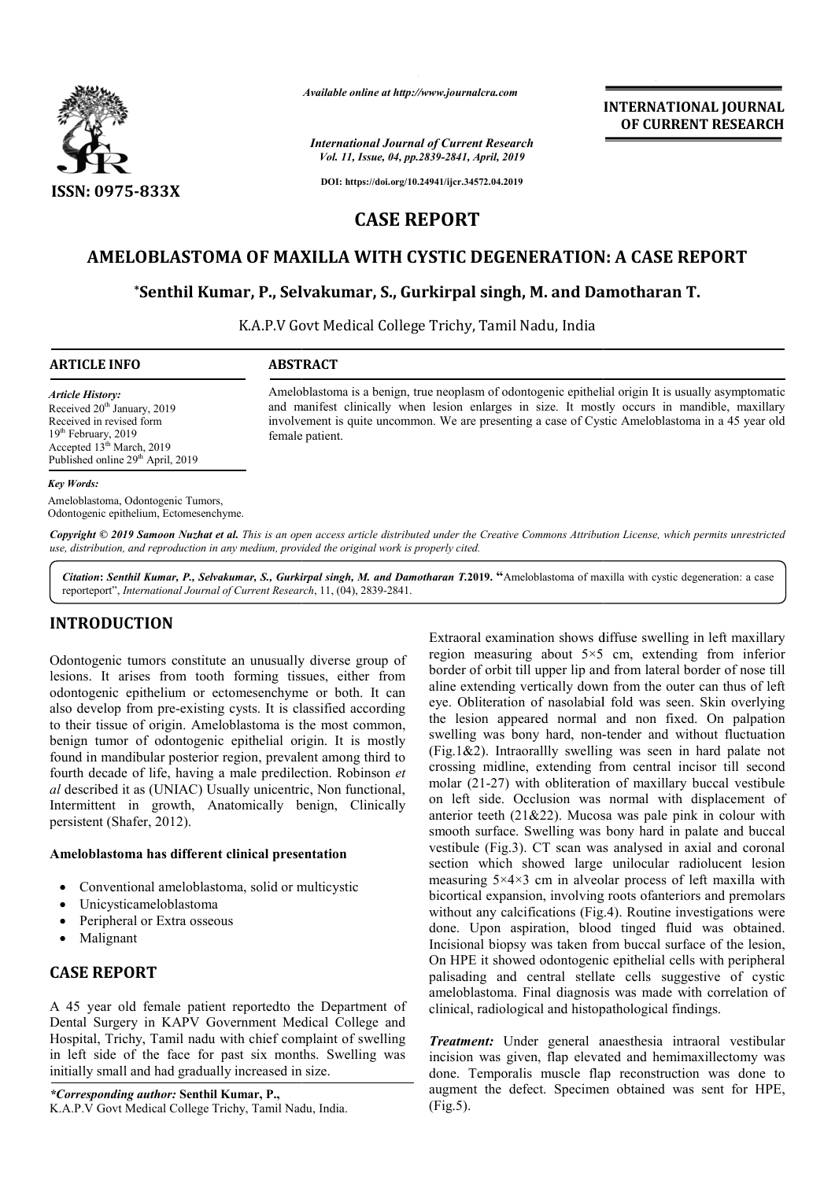

*Available online at http://www.journalcra.com*

*International Journal of Current Research Vol. 11, Issue, 04, pp.2839-2841, April, 2019*

**INTERNATIONAL JOURNAL OF CURRENT RESEARCH**

**DOI: https://doi.org/10.24941/ijcr.34572.04.2019**

# **CASE REPORT**

# AMELOBLASTOMA OF MAXILLA WITH CYSTIC DEGENERATION: A CASE REPORT

# **\*Senthil Kumar, P., Selvakumar, S., Senthil Gurkirpal singh, M. and Damotharan T.**

K.A.P.V Govt Medical College Trichy, Tamil Nadu, India

| <b>ARTICLE INFO</b> |  |
|---------------------|--|
|---------------------|--|

#### **ARTICLE INFO ABSTRACT**

*Article History:* Received 20<sup>th</sup> January, 2019 Received in revised form 19th February, 2019 Accepted  $13<sup>th</sup>$  March, 2019 Published online 29<sup>th</sup> April, 2019

Ameloblastoma is a benign, true neoplasm of odontogenic epithelial origin It is usually asymptomatic and manifest clinically when lesion enlarges in size. It mostly occurs in mandible, maxillary involvement is quite uncommon. We are presenting a case of Cystic Ameloblastoma in a 45 year female patient. epithelial origin It is usually asymptomatic<br>It mostly occurs in mandible, maxillary<br>of Cystic Ameloblastoma in a 45 year old

#### *Key Words:*

Ameloblastoma, Odontogenic Tumors, Odontogenic epithelium, Ectomesenchyme.

Copyright © 2019 Samoon Nuzhat et al. This is an open access article distributed under the Creative Commons Attribution License, which permits unrestrictea *use, distribution, and reproduction in any medium, provided the original work is properly cited.*

*Citation***:** *Senthil Kumar, P., Selvakumar, S., Gurkirpal singh, M. and Damotharan T.* **2019. "**Ameloblastoma of maxilla with cystic degeneration: a case reporteport", *International Journal of Current Research* , 11, (04), 2839-2841.

# **INTRODUCTION**

Odontogenic tumors constitute an unusually diverse group of lesions. It arises from tooth forming tissues, either from odontogenic epithelium or ectomesenchyme or both. It can also develop from pre-existing cysts. It is classified according to their tissue of origin. Ameloblastoma is the most common, benign tumor of odontogenic epithelial origin. It is mostly found in mandibular posterior region, prevalent among third to fourth decade of life, having a male predilection. Robinson *et al* described it as (UNIAC) Usually unicentric, Non functional, Intermittent in growth, Anatomically benign, Clinically persistent (Shafer, 2012).

#### **Ameloblastoma has different clinical presentation**

- Conventional ameloblastoma, solid or multicystic
- Unicysticameloblastoma
- Peripheral or Extra osseous
- Malignant

# **CASE REPORT**

A 45 year old female patient reportedto the Department of Dental Surgery in KAPV Government Medical College and Hospital, Trichy, Tamil nadu with chief complaint of swelling in left side of the face for past six months. Swelling was initially small and had gradually increased in size.

*\*Corresponding author:* **Senthil Kumar, P.,**  K.A.P.V Govt Medical College Trichy, Tamil Nadu, India. Extraoral examination shows diffuse swelling in left maxillary region measuring about  $5 \times 5$  cm, extending from inferior border of orbit till upper lip and from lateral border of nose till aline extending vertically down from the outer can thus of left eye. Obliteration of nasolabial fold was seen. Skin overlying the lesion appeared normal and non fixed. On palpation the lesion appeared normal and non fixed. On palpation swelling was bony hard, non-tender and without fluctuation  $(Fig.1&2)$ . Intraorallly swelling was seen in hard palate not crossing midline, extending from central incisor till second molar (21-27) with obliteration of maxillary buccal vestibule (Fig.1&2). Intraorallly swelling was seen in hard palate not crossing midline, extending from central incisor till second molar  $(21-27)$  with obliteration of maxillary buccal vestibule on left side. Occlusion was normal anterior teeth (21&22). Mucosa was pale pink in colour with smooth surface. Swelling was bony hard in palate and buccal vestibule (Fig.3). CT scan was analysed in axial and coronal section which showed large unilocular radiolucent lesion measuring 5×4×3 cm in alveolar process of left maxilla with bicortical expansion, involving roots ofanteriors and premolars without any calcifications (Fig.4). Routine investigations were done. Upon aspiration, blood tinged fluid was obtained. Incisional biopsy was taken from buccal surface of the lesion, On HPE it showed odontogenic epithelial cells with peripheral palisading and central stellate cells suggestive of cystic ameloblastoma. Final diagnosis was made with correlation of clinical, radiological and histopathological findings. examination shows diffuse swelling in left maxillary<br>easuring about  $5\times5$  cm, extending from inferior<br>orbit till upper lip and from lateral border of nose till erior teeth (21&22). Mucosa was pale pink in colour with ooth surface. Swelling was bony hard in palate and buccal stibule (Fig.3). CT scan was analysed in axial and coronal tion which showed large unilocular radiolucent done. Upon aspiration, blood tinged fluid was obtained.<br>Incisional biopsy was taken from buccal surface of the lesion,<br>On HPE it showed odontogenic epithelial cells with peripheral<br>palisading and central stellate cells sug

*Treatment:* Under general anaesthesia intraoral vestibular incision was given, flap elevated and hemimaxillectomy was done. Temporalis muscle flap reconstruction was done to augment the defect. Specimen obtained was sent for HPE, (Fig.5).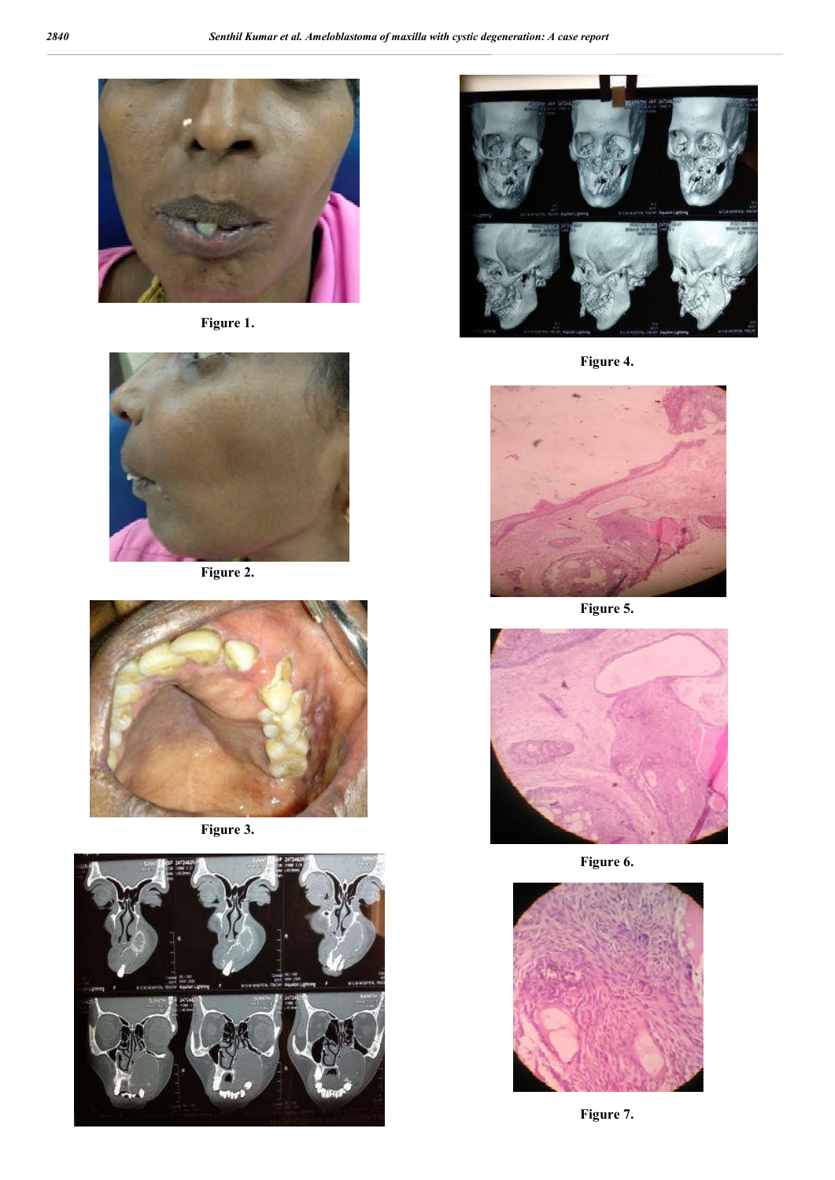

**Figure 1.**



**Figure 2.**



**Figure 3.**





**Figure 4.**



**Figure 5.**



**Figure 6.**



**Figure 7.**